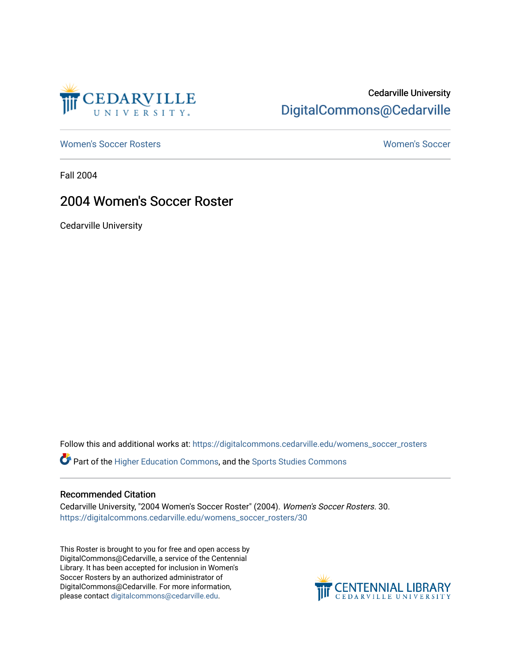

# Cedarville University [DigitalCommons@Cedarville](https://digitalcommons.cedarville.edu/)

[Women's Soccer Rosters](https://digitalcommons.cedarville.edu/womens_soccer_rosters) [Women's Soccer](https://digitalcommons.cedarville.edu/womens_soccer) 

Fall 2004

## 2004 Women's Soccer Roster

Cedarville University

Follow this and additional works at: [https://digitalcommons.cedarville.edu/womens\\_soccer\\_rosters](https://digitalcommons.cedarville.edu/womens_soccer_rosters?utm_source=digitalcommons.cedarville.edu%2Fwomens_soccer_rosters%2F30&utm_medium=PDF&utm_campaign=PDFCoverPages) 

Part of the [Higher Education Commons,](http://network.bepress.com/hgg/discipline/1245?utm_source=digitalcommons.cedarville.edu%2Fwomens_soccer_rosters%2F30&utm_medium=PDF&utm_campaign=PDFCoverPages) and the [Sports Studies Commons](http://network.bepress.com/hgg/discipline/1198?utm_source=digitalcommons.cedarville.edu%2Fwomens_soccer_rosters%2F30&utm_medium=PDF&utm_campaign=PDFCoverPages) 

### Recommended Citation

Cedarville University, "2004 Women's Soccer Roster" (2004). Women's Soccer Rosters. 30. [https://digitalcommons.cedarville.edu/womens\\_soccer\\_rosters/30](https://digitalcommons.cedarville.edu/womens_soccer_rosters/30?utm_source=digitalcommons.cedarville.edu%2Fwomens_soccer_rosters%2F30&utm_medium=PDF&utm_campaign=PDFCoverPages)

This Roster is brought to you for free and open access by DigitalCommons@Cedarville, a service of the Centennial Library. It has been accepted for inclusion in Women's Soccer Rosters by an authorized administrator of DigitalCommons@Cedarville. For more information, please contact [digitalcommons@cedarville.edu](mailto:digitalcommons@cedarville.edu).